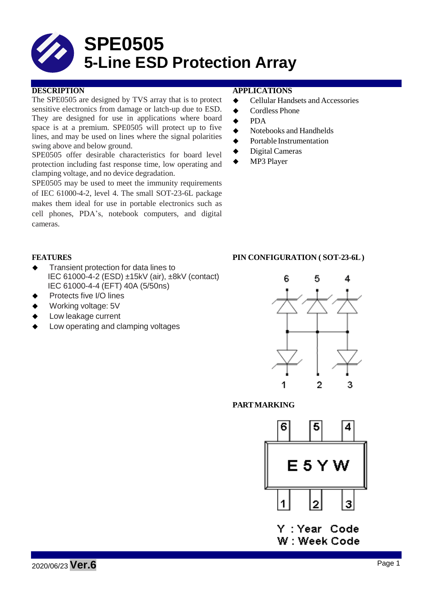# **SPE0505 5-Line ESD Protection Array**

The SPE0505 are designed by TVS array that is to protect sensitive electronics from damage or latch-up due to ESD. They are designed for use in applications where board space is at a premium. SPE0505 will protect up to five lines, and may be used on lines where the signal polarities swing above and below ground.

SPE0505 offer desirable characteristics for board level protection including fast response time, low operating and clamping voltage, and no device degradation.

SPE0505 may be used to meet the immunity requirements of IEC 61000-4-2, level 4. The small SOT-23-6L package makes them ideal for use in portable electronics such as cell phones, PDA's, notebook computers, and digital cameras.

#### **DESCRIPTION APPLICATIONS**

- ◆ Cellular Handsets and Accessories
- ◆ Cordless Phone
- **←** PDA
- $\blacklozenge$  Notebooks and Handhelds
- **◆** Portable Instrumentation
- ◆ Digital Cameras
- MP3 Player

- Transient protection for data lines to IEC 61000-4-2 (ESD) ±15kV (air), ±8kV (contact) IEC 61000-4-4 (EFT) 40A (5/50ns)
- Protects five I/O lines
- Working voltage: 5V
- Low leakage current
- Low operating and clamping voltages

### **FEATURES PIN CONFIGURATION ( SOT-23-6L)**



### **PARTMARKING**



Y:Year Code W: Week Code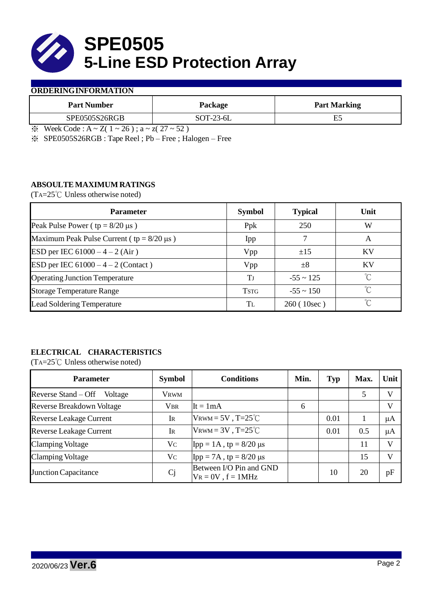

#### **ORDERINGINFORMATION**

| <b>Part Number</b> | Package                      | <b>Part Marking</b> |
|--------------------|------------------------------|---------------------|
| SPE0505S26RGB      | $SOT-23-6L$                  |                     |
| $\mathbf{v}$       | $ -$<br>$\sim$ $\sim$ $\sim$ |                     |

 $\& \text{Week Code : A} \sim Z(1 \sim 26); a \sim z(27 \sim 52)$ 

※ SPE0505S26RGB : Tape Reel ; Pb – Free ; Halogen – Free

### **ABSOULTE MAXIMUM RATINGS**

(TA=25℃ Unless otherwise noted)

| <b>Parameter</b>                                 | <b>Symbol</b> | <b>Typical</b> | Unit      |
|--------------------------------------------------|---------------|----------------|-----------|
| Peak Pulse Power ( $tp = 8/20 \mu s$ )           | Ppk           | 250            | W         |
| Maximum Peak Pulse Current ( $tp = 8/20 \mu s$ ) | Ipp           |                | A         |
| ESD per IEC $61000 - 4 - 2$ (Air)                | Vpp           | ±15            | <b>KV</b> |
| ESD per IEC $61000 - 4 - 2$ (Contact)            | Vpp           | $\pm 8$        | <b>KV</b> |
| <b>Operating Junction Temperature</b>            | Tj            | $-55 \sim 125$ | ℃         |
| <b>Storage Temperature Range</b>                 | <b>TSTG</b>   | $-55 \sim 150$ | °C        |
| <b>Lead Soldering Temperature</b>                | Tъ            | 260(10sec)     | $\gamma$  |

# **ELECTRICAL CHARACTERISTICS**

(TA=25℃ Unless otherwise noted)

| <b>Parameter</b>                 | <b>Symbol</b>  | <b>Conditions</b>                                  | Min. | Typ  | Max. | Unit    |
|----------------------------------|----------------|----------------------------------------------------|------|------|------|---------|
| Reverse Stand – Off<br>Voltage   | <b>VRWM</b>    |                                                    |      |      | 5    | V       |
| <b>Reverse Breakdown Voltage</b> | <b>VBR</b>     | $It = 1mA$                                         | 6    |      |      | V       |
| <b>Reverse Leakage Current</b>   | Ir             | $V_{\text{RWM}} = 5V$ , T=25 <sup>°</sup> C        |      | 0.01 |      | μA      |
| <b>Reverse Leakage Current</b>   | IR             | VRWM = $3V$ , T= $25^{\circ}$ C                    |      | 0.01 | 0.5  | $\mu A$ |
| <b>Clamping Voltage</b>          | Vc             | $\text{Ipp} = 1 \text{A}$ , tp = 8/20 µs           |      |      | 11   | V       |
| <b>Clamping Voltage</b>          | $V_{C}$        | $\text{Ipp} = 7\text{A}$ , tp = 8/20 µs            |      |      | 15   | V       |
| Junction Capacitance             | C <sub>j</sub> | Between I/O Pin and GND<br>$V_R = 0V$ , $f = 1MHz$ |      | 10   | 20   | pF      |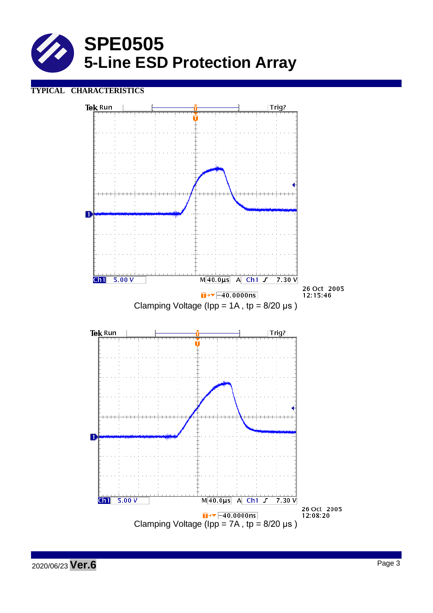

## **TYPICAL CHARACTERISTICS**

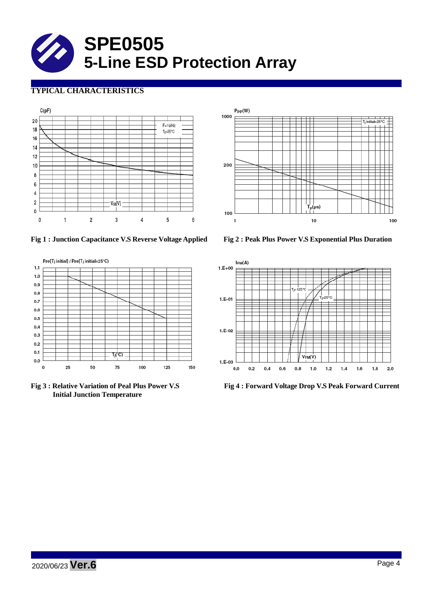

# **TYPICAL CHARACTERISTICS**





**Fig 1 : Junction Capacitance V.S Reverse Voltage Applied Fig 2 : Peak Plus Power V.S Exponential Plus Duration**



**Initial Junction Temperature**



**Fig 3 : Relative Variation of Peal Plus Power V.S Fig 4 : Forward Voltage Drop V.S Peak Forward Current**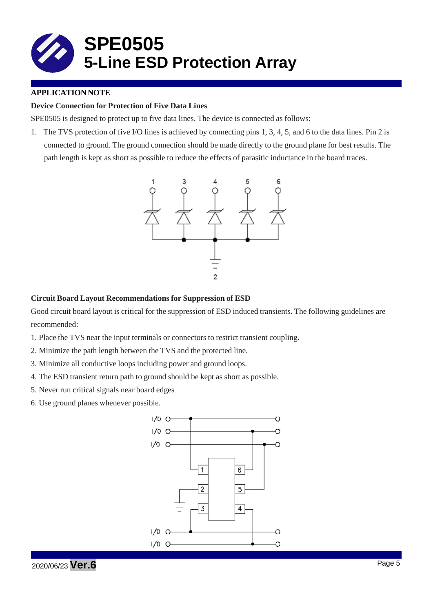

### **APPLICATION NOTE**

#### **Device Connection for Protection of Five Data Lines**

SPE0505 is designed to protect up to five data lines. The device is connected as follows:

1. The TVS protection of five I/O lines is achieved by connecting pins 1, 3, 4, 5, and 6 to the data lines. Pin 2 is connected to ground. The ground connection should be made directly to the ground plane for best results. The path length is kept as short as possible to reduce the effects of parasitic inductance in the board traces.



#### **Circuit Board Layout Recommendations for Suppression of ESD**

Good circuit board layout is critical for the suppression of ESD induced transients. The following guidelines are recommended:

- 1. Place the TVS near the input terminals or connectors to restrict transient coupling.
- 2. Minimize the path length between the TVS and the protected line.
- 3. Minimize all conductive loops including power and ground loops.
- 4. The ESD transient return path to ground should be kept as short as possible.
- 5. Never run critical signals near board edges
- 6. Use ground planes whenever possible.